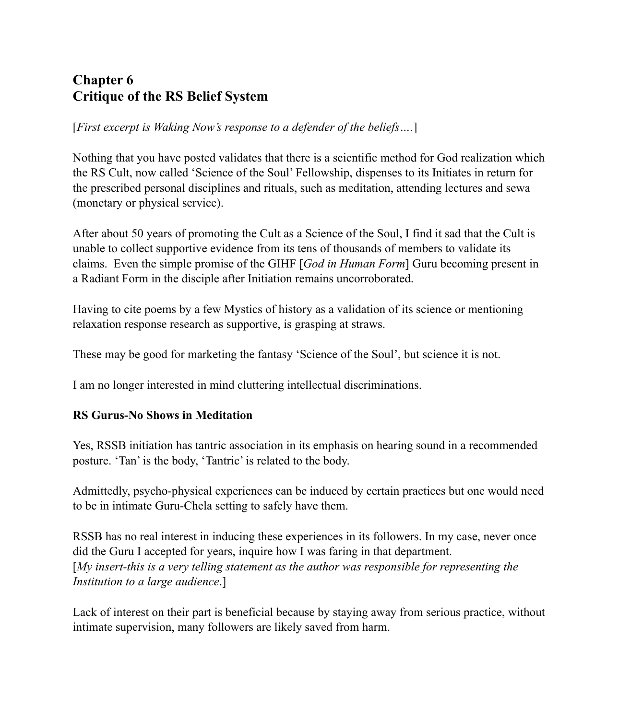# **Chapter 6 Critique of the RS Belief System**

[*First excerpt is Waking Now's response to a defender of the beliefs….*]

Nothing that you have posted validates that there is a scientific method for God realization which the RS Cult, now called 'Science of the Soul' Fellowship, dispenses to its Initiates in return for the prescribed personal disciplines and rituals, such as meditation, attending lectures and sewa (monetary or physical service).

After about 50 years of promoting the Cult as a Science of the Soul, I find it sad that the Cult is unable to collect supportive evidence from its tens of thousands of members to validate its claims. Even the simple promise of the GIHF [*God in Human Form*] Guru becoming present in a Radiant Form in the disciple after Initiation remains uncorroborated.

Having to cite poems by a few Mystics of history as a validation of its science or mentioning relaxation response research as supportive, is grasping at straws.

These may be good for marketing the fantasy 'Science of the Soul', but science it is not.

I am no longer interested in mind cluttering intellectual discriminations.

## **RS Gurus-No Shows in Meditation**

Yes, RSSB initiation has tantric association in its emphasis on hearing sound in a recommended posture. 'Tan' is the body, 'Tantric' is related to the body.

Admittedly, psycho-physical experiences can be induced by certain practices but one would need to be in intimate Guru-Chela setting to safely have them.

RSSB has no real interest in inducing these experiences in its followers. In my case, never once did the Guru I accepted for years, inquire how I was faring in that department. [*My insert-this is a very telling statement as the author was responsible for representing the Institution to a large audience*.]

Lack of interest on their part is beneficial because by staying away from serious practice, without intimate supervision, many followers are likely saved from harm.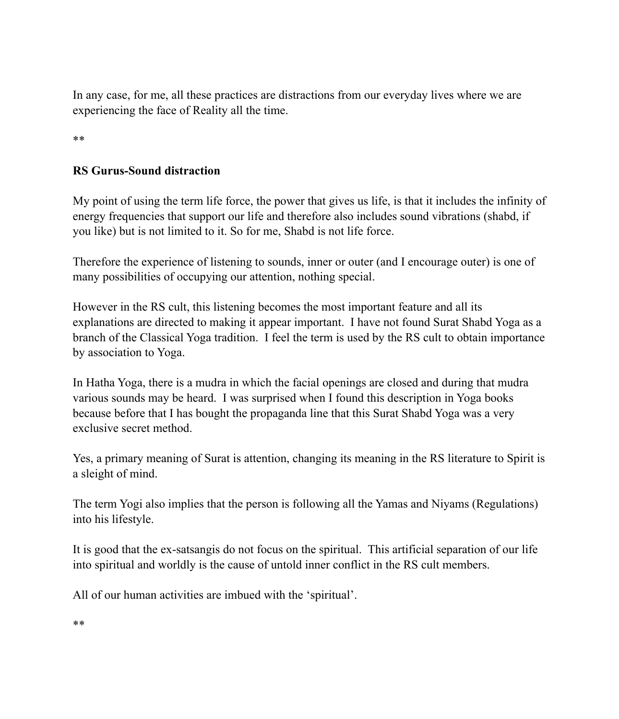In any case, for me, all these practices are distractions from our everyday lives where we are experiencing the face of Reality all the time.

\*\*

# **RS Gurus-Sound distraction**

My point of using the term life force, the power that gives us life, is that it includes the infinity of energy frequencies that support our life and therefore also includes sound vibrations (shabd, if you like) but is not limited to it. So for me, Shabd is not life force.

Therefore the experience of listening to sounds, inner or outer (and I encourage outer) is one of many possibilities of occupying our attention, nothing special.

However in the RS cult, this listening becomes the most important feature and all its explanations are directed to making it appear important. I have not found Surat Shabd Yoga as a branch of the Classical Yoga tradition. I feel the term is used by the RS cult to obtain importance by association to Yoga.

In Hatha Yoga, there is a mudra in which the facial openings are closed and during that mudra various sounds may be heard. I was surprised when I found this description in Yoga books because before that I has bought the propaganda line that this Surat Shabd Yoga was a very exclusive secret method.

Yes, a primary meaning of Surat is attention, changing its meaning in the RS literature to Spirit is a sleight of mind.

The term Yogi also implies that the person is following all the Yamas and Niyams (Regulations) into his lifestyle.

It is good that the ex-satsangis do not focus on the spiritual. This artificial separation of our life into spiritual and worldly is the cause of untold inner conflict in the RS cult members.

All of our human activities are imbued with the 'spiritual'.

\*\*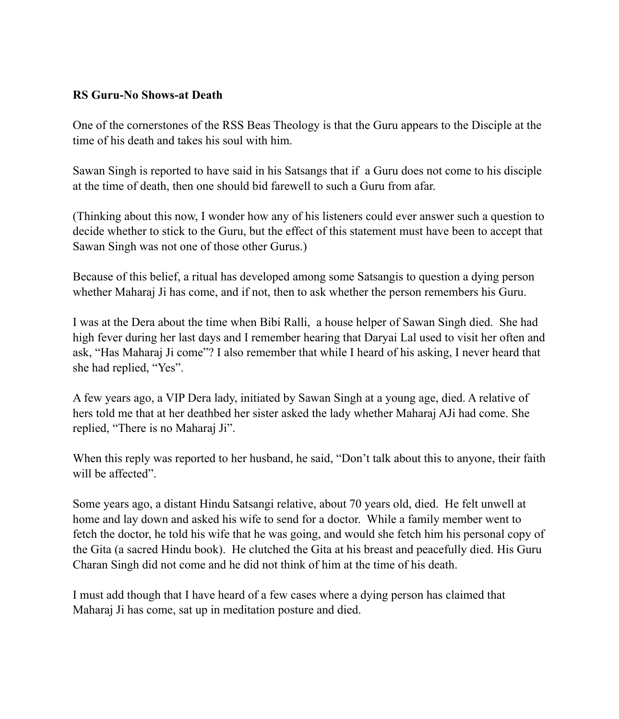### **RS Guru-No Shows-at Death**

One of the cornerstones of the RSS Beas Theology is that the Guru appears to the Disciple at the time of his death and takes his soul with him.

Sawan Singh is reported to have said in his Satsangs that if a Guru does not come to his disciple at the time of death, then one should bid farewell to such a Guru from afar.

(Thinking about this now, I wonder how any of his listeners could ever answer such a question to decide whether to stick to the Guru, but the effect of this statement must have been to accept that Sawan Singh was not one of those other Gurus.)

Because of this belief, a ritual has developed among some Satsangis to question a dying person whether Maharaj Ji has come, and if not, then to ask whether the person remembers his Guru.

I was at the Dera about the time when Bibi Ralli, a house helper of Sawan Singh died. She had high fever during her last days and I remember hearing that Daryai Lal used to visit her often and ask, "Has Maharaj Ji come"? I also remember that while I heard of his asking, I never heard that she had replied, "Yes".

A few years ago, a VIP Dera lady, initiated by Sawan Singh at a young age, died. A relative of hers told me that at her deathbed her sister asked the lady whether Maharaj AJi had come. She replied, "There is no Maharaj Ji".

When this reply was reported to her husband, he said, "Don't talk about this to anyone, their faith will be affected"

Some years ago, a distant Hindu Satsangi relative, about 70 years old, died. He felt unwell at home and lay down and asked his wife to send for a doctor. While a family member went to fetch the doctor, he told his wife that he was going, and would she fetch him his personal copy of the Gita (a sacred Hindu book). He clutched the Gita at his breast and peacefully died. His Guru Charan Singh did not come and he did not think of him at the time of his death.

I must add though that I have heard of a few cases where a dying person has claimed that Maharaj Ji has come, sat up in meditation posture and died.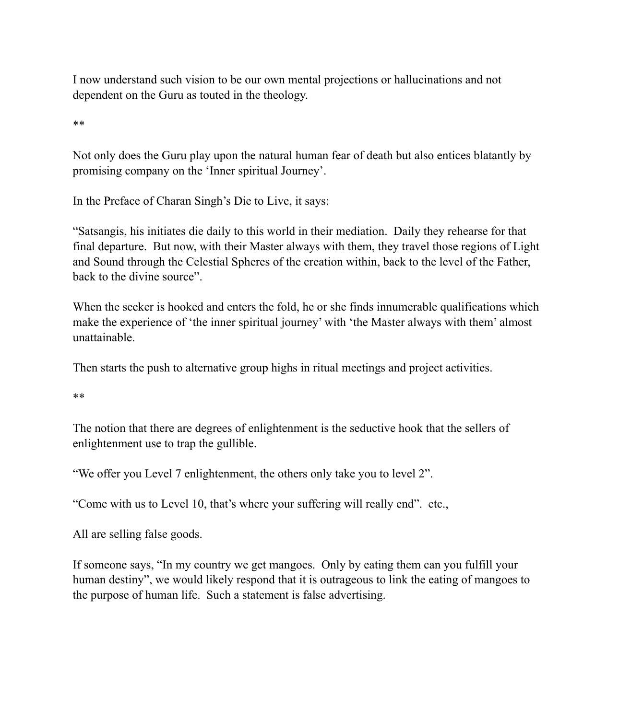I now understand such vision to be our own mental projections or hallucinations and not dependent on the Guru as touted in the theology.

\*\*

Not only does the Guru play upon the natural human fear of death but also entices blatantly by promising company on the 'Inner spiritual Journey'.

In the Preface of Charan Singh's Die to Live, it says:

"Satsangis, his initiates die daily to this world in their mediation. Daily they rehearse for that final departure. But now, with their Master always with them, they travel those regions of Light and Sound through the Celestial Spheres of the creation within, back to the level of the Father, back to the divine source".

When the seeker is hooked and enters the fold, he or she finds innumerable qualifications which make the experience of 'the inner spiritual journey' with 'the Master always with them' almost unattainable.

Then starts the push to alternative group highs in ritual meetings and project activities.

\*\*

The notion that there are degrees of enlightenment is the seductive hook that the sellers of enlightenment use to trap the gullible.

"We offer you Level 7 enlightenment, the others only take you to level 2".

"Come with us to Level 10, that's where your suffering will really end". etc.,

All are selling false goods.

If someone says, "In my country we get mangoes. Only by eating them can you fulfill your human destiny", we would likely respond that it is outrageous to link the eating of mangoes to the purpose of human life. Such a statement is false advertising.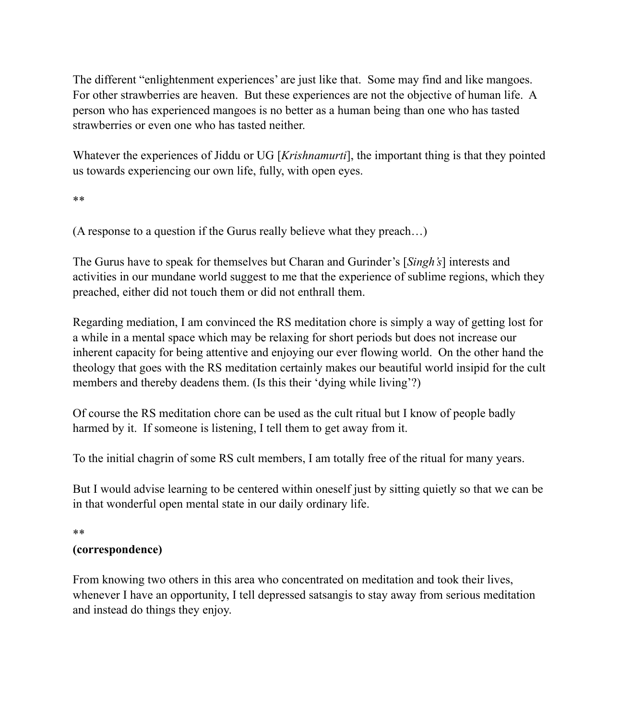The different "enlightenment experiences' are just like that. Some may find and like mangoes. For other strawberries are heaven. But these experiences are not the objective of human life. A person who has experienced mangoes is no better as a human being than one who has tasted strawberries or even one who has tasted neither.

Whatever the experiences of Jiddu or UG [*Krishnamurti*], the important thing is that they pointed us towards experiencing our own life, fully, with open eyes.

\*\*

(A response to a question if the Gurus really believe what they preach…)

The Gurus have to speak for themselves but Charan and Gurinder's [*Singh's*] interests and activities in our mundane world suggest to me that the experience of sublime regions, which they preached, either did not touch them or did not enthrall them.

Regarding mediation, I am convinced the RS meditation chore is simply a way of getting lost for a while in a mental space which may be relaxing for short periods but does not increase our inherent capacity for being attentive and enjoying our ever flowing world. On the other hand the theology that goes with the RS meditation certainly makes our beautiful world insipid for the cult members and thereby deadens them. (Is this their 'dying while living'?)

Of course the RS meditation chore can be used as the cult ritual but I know of people badly harmed by it. If someone is listening, I tell them to get away from it.

To the initial chagrin of some RS cult members, I am totally free of the ritual for many years.

But I would advise learning to be centered within oneself just by sitting quietly so that we can be in that wonderful open mental state in our daily ordinary life.

\*\*

### **(correspondence)**

From knowing two others in this area who concentrated on meditation and took their lives, whenever I have an opportunity, I tell depressed satsangis to stay away from serious meditation and instead do things they enjoy.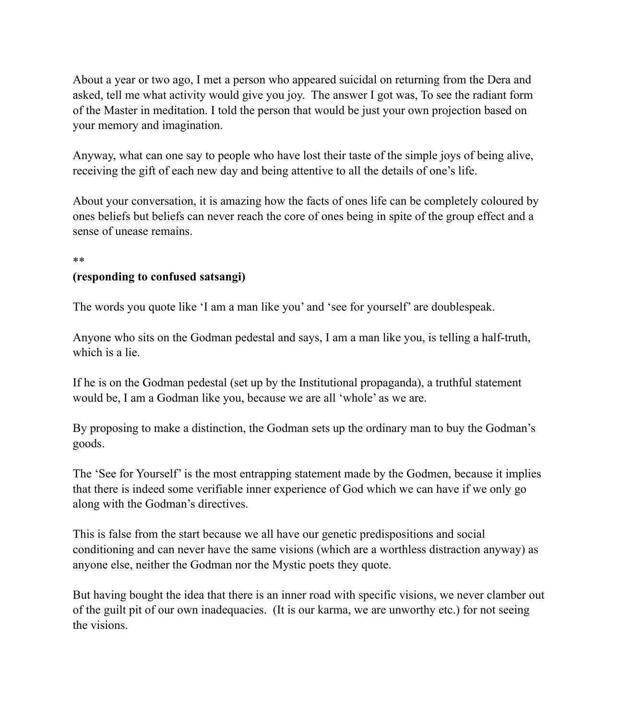About a year or two ago, I met a person who appeared suicidal on returning from the Dera and asked, tell me what activity would give you joy. The answer I got was, To see the radiant form of the Master in meditation. I told the person that would be just your own projection based on your memory and imagination.

Anyway, what can one say to people who have lost their taste of the simple joys of being alive, receiving the gift of each new day and being attentive to all the details of one's life.

About your conversation, it is amazing how the facts of ones life can be completely coloured by ones beliefs but beliefs can never reach the core of ones being in spite of the group effect and a sense of unease remains.

#### \*\*

### **(responding to confused satsangi)**

The words you quote like 'I am a man like you' and 'see for yourself' are doublespeak.

Anyone who sits on the Godman pedestal and says, I am a man like you, is telling a half-truth, which is a lie.

If he is on the Godman pedestal (set up by the Institutional propaganda), a truthful statement would be, I am a Godman like you, because we are all 'whole' as we are.

By proposing to make a distinction, the Godman sets up the ordinary man to buy the Godman's goods.

The 'See for Yourself' is the most entrapping statement made by the Godmen, because it implies that there is indeed some verifiable inner experience of God which we can have if we only go along with the Godman's directives.

This is false from the start because we all have our genetic predispositions and social conditioning and can never have the same visions (which are a worthless distraction anyway) as anyone else, neither the Godman nor the Mystic poets they quote.

But having bought the idea that there is an inner road with specific visions, we never clamber out of the guilt pit of our own inadequacies. (It is our karma, we are unworthy etc.) for not seeing the visions.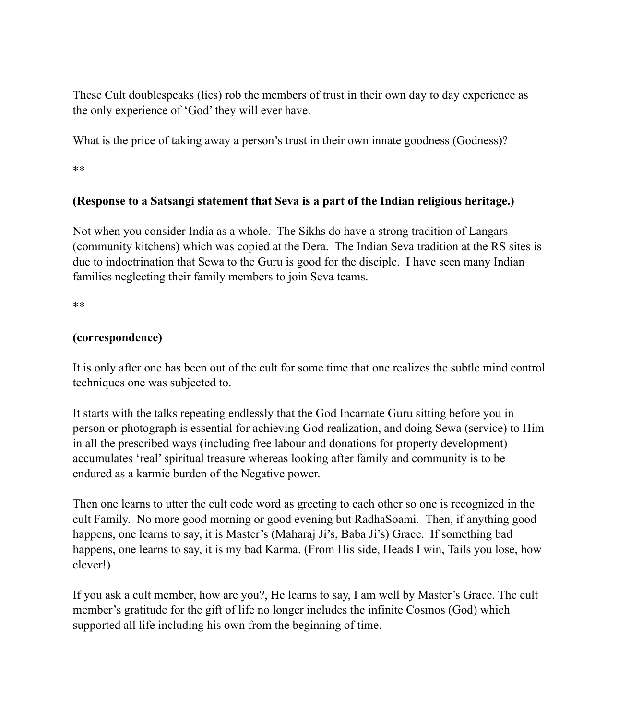These Cult doublespeaks (lies) rob the members of trust in their own day to day experience as the only experience of 'God' they will ever have.

What is the price of taking away a person's trust in their own innate goodness (Godness)?

\*\*

# **(Response to a Satsangi statement that Seva is a part of the Indian religious heritage.)**

Not when you consider India as a whole. The Sikhs do have a strong tradition of Langars (community kitchens) which was copied at the Dera. The Indian Seva tradition at the RS sites is due to indoctrination that Sewa to the Guru is good for the disciple. I have seen many Indian families neglecting their family members to join Seva teams.

\*\*

## **(correspondence)**

It is only after one has been out of the cult for some time that one realizes the subtle mind control techniques one was subjected to.

It starts with the talks repeating endlessly that the God Incarnate Guru sitting before you in person or photograph is essential for achieving God realization, and doing Sewa (service) to Him in all the prescribed ways (including free labour and donations for property development) accumulates 'real' spiritual treasure whereas looking after family and community is to be endured as a karmic burden of the Negative power.

Then one learns to utter the cult code word as greeting to each other so one is recognized in the cult Family. No more good morning or good evening but RadhaSoami. Then, if anything good happens, one learns to say, it is Master's (Maharaj Ji's, Baba Ji's) Grace. If something bad happens, one learns to say, it is my bad Karma. (From His side, Heads I win, Tails you lose, how clever!)

If you ask a cult member, how are you?, He learns to say, I am well by Master's Grace. The cult member's gratitude for the gift of life no longer includes the infinite Cosmos (God) which supported all life including his own from the beginning of time.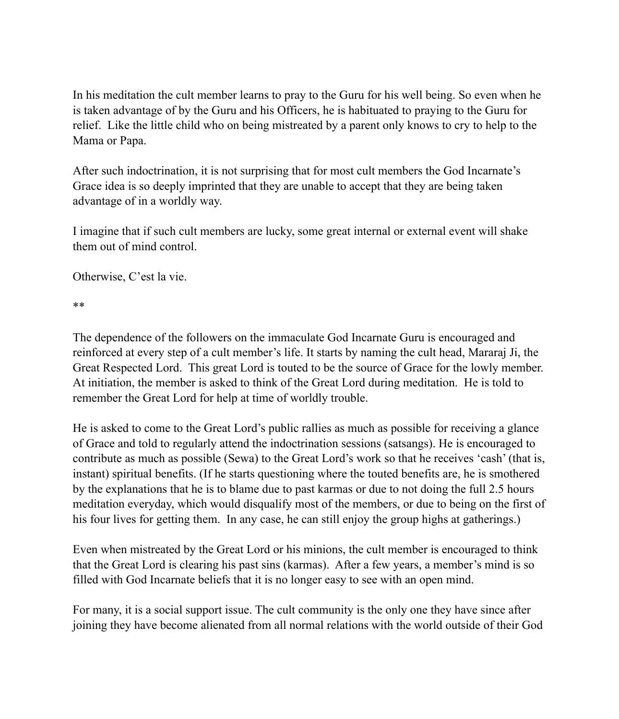In his meditation the cult member learns to pray to the Guru for his well being. So even when he is taken advantage of by the Guru and his Officers, he is habituated to praying to the Guru for relief. Like the little child who on being mistreated by a parent only knows to cry to help to the Mama or Papa.

After such indoctrination, it is not surprising that for most cult members the God Incarnate's Grace idea is so deeply imprinted that they are unable to accept that they are being taken advantage of in a worldly way.

I imagine that if such cult members are lucky, some great internal or external event will shake them out of mind control.

Otherwise, C'est la vie.

\*\*

The dependence of the followers on the immaculate God Incarnate Guru is encouraged and reinforced at every step of a cult member's life. It starts by naming the cult head, Mararaj Ji, the Great Respected Lord. This great Lord is touted to be the source of Grace for the lowly member. At initiation, the member is asked to think of the Great Lord during meditation. He is told to remember the Great Lord for help at time of worldly trouble.

He is asked to come to the Great Lord's public rallies as much as possible for receiving a glance of Grace and told to regularly attend the indoctrination sessions (satsangs). He is encouraged to contribute as much as possible (Sewa) to the Great Lord's work so that he receives 'cash' (that is, instant) spiritual benefits. (If he starts questioning where the touted benefits are, he is smothered by the explanations that he is to blame due to past karmas or due to not doing the full 2.5 hours meditation everyday, which would disqualify most of the members, or due to being on the first of his four lives for getting them. In any case, he can still enjoy the group highs at gatherings.)

Even when mistreated by the Great Lord or his minions, the cult member is encouraged to think that the Great Lord is clearing his past sins (karmas). After a few years, a member's mind is so filled with God Incarnate beliefs that it is no longer easy to see with an open mind.

For many, it is a social support issue. The cult community is the only one they have since after joining they have become alienated from all normal relations with the world outside of their God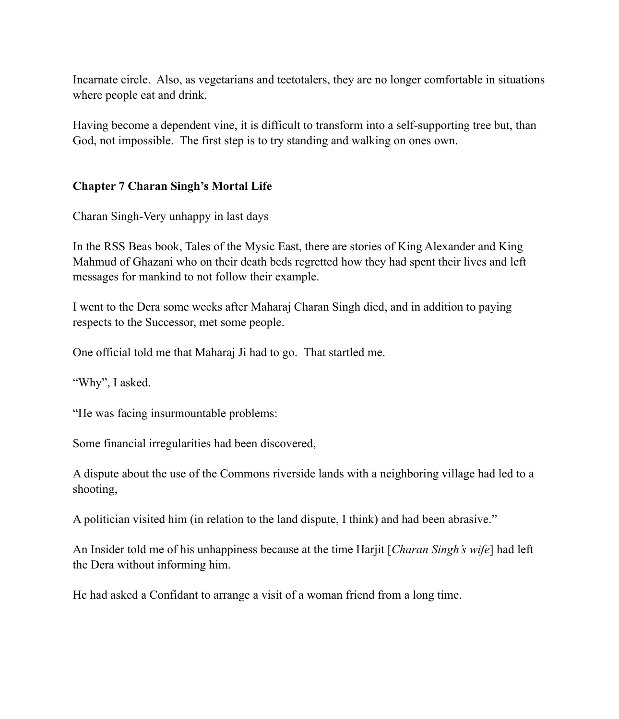Incarnate circle. Also, as vegetarians and teetotalers, they are no longer comfortable in situations where people eat and drink.

Having become a dependent vine, it is difficult to transform into a self-supporting tree but, than God, not impossible. The first step is to try standing and walking on ones own.

## **Chapter 7 Charan Singh's Mortal Life**

Charan Singh-Very unhappy in last days

In the RSS Beas book, Tales of the Mysic East, there are stories of King Alexander and King Mahmud of Ghazani who on their death beds regretted how they had spent their lives and left messages for mankind to not follow their example.

I went to the Dera some weeks after Maharaj Charan Singh died, and in addition to paying respects to the Successor, met some people.

One official told me that Maharaj Ji had to go. That startled me.

"Why", I asked.

"He was facing insurmountable problems:

Some financial irregularities had been discovered,

A dispute about the use of the Commons riverside lands with a neighboring village had led to a shooting,

A politician visited him (in relation to the land dispute, I think) and had been abrasive."

An Insider told me of his unhappiness because at the time Harjit [*Charan Singh's wife*] had left the Dera without informing him.

He had asked a Confidant to arrange a visit of a woman friend from a long time.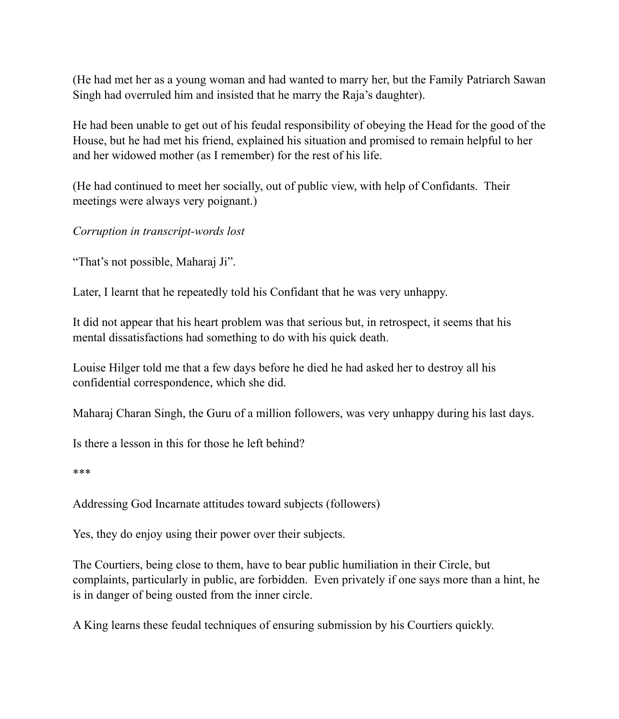(He had met her as a young woman and had wanted to marry her, but the Family Patriarch Sawan Singh had overruled him and insisted that he marry the Raja's daughter).

He had been unable to get out of his feudal responsibility of obeying the Head for the good of the House, but he had met his friend, explained his situation and promised to remain helpful to her and her widowed mother (as I remember) for the rest of his life.

(He had continued to meet her socially, out of public view, with help of Confidants. Their meetings were always very poignant.)

*Corruption in transcript-words lost*

"That's not possible, Maharaj Ji".

Later, I learnt that he repeatedly told his Confidant that he was very unhappy.

It did not appear that his heart problem was that serious but, in retrospect, it seems that his mental dissatisfactions had something to do with his quick death.

Louise Hilger told me that a few days before he died he had asked her to destroy all his confidential correspondence, which she did.

Maharaj Charan Singh, the Guru of a million followers, was very unhappy during his last days.

Is there a lesson in this for those he left behind?

\*\*\*

Addressing God Incarnate attitudes toward subjects (followers)

Yes, they do enjoy using their power over their subjects.

The Courtiers, being close to them, have to bear public humiliation in their Circle, but complaints, particularly in public, are forbidden. Even privately if one says more than a hint, he is in danger of being ousted from the inner circle.

A King learns these feudal techniques of ensuring submission by his Courtiers quickly.